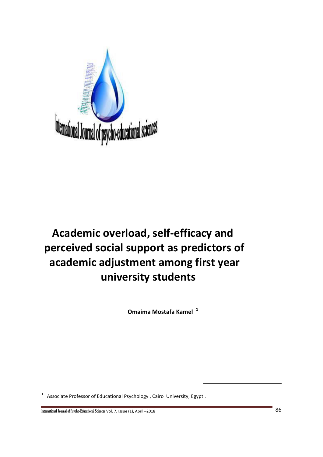

# **Academic overload, self-efficacy and perceived social support as predictors of academic adjustment among first year university students**

 **Omaima Mostafa Kamel <sup>1</sup>**

 $\overline{a}$ 

<sup>1</sup> Associate Professor of Educational Psychology , Cairo University, Egypt .

International Journal of Psycho-Educational Sciences Vol. 7, Issue (1), April –<sup>2018</sup>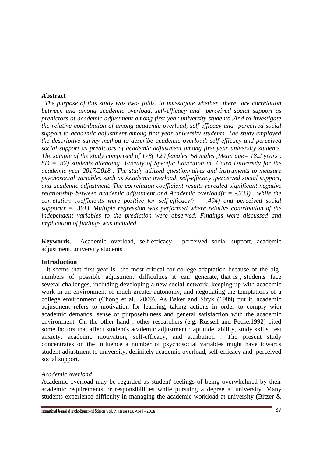## **Abstract**

 *The purpose of this study was two- folds: to investigate whether there are correlation between and among academic overload, self-efficacy and perceived social support as predictors of academic adjustment among first year university students .And to investigate the relative contribution of among academic overload, self-efficacy and perceived social support to academic adjustment among first year university students. The study employed the descriptive survey method to describe academic overload, self-efficacy and perceived social support as predictors of academic adjustment among first year university students. The sample of the study comprised of 178(120 females. 58 males , Mean age= 18.2 years , SD = .82) students attending Faculty of Specific Education in Cairo University for the academic year 2017/2018 . The study utilized questionnaires and instruments to measure psychosocial variables such as Academic overload, self-efficacy .perceived social support, and academic adjustment. The correlation coefficient results revealed significant negative relationship between academic adjustment and Academic overload(r = -.333) , while the correlation coefficients were positive for self-efficacy(r = .404) and perceived social support(r = .391). Multiple regression was performed where relative contribution of the independent variables to the prediction were observed. Findings were discussed and implication of findings was included.* 

**Keywords.** Academic overload, self-efficacy , perceived social support, academic adjustment, university students

## **Introduction**

 It seems that first year is the most critical for college adaptation because of the big numbers of possible adjustment difficulties it can generate, that is , students face several challenges, including developing a new social network, keeping up with academic work in an environment of much greater autonomy, and negotiating the temptations of a college environment (Chong et al., 2009). As Baker and Siryk (1989) put it, academic adjustment refers to motivation for learning, taking actions in order to comply with academic demands, sense of purposefulness and general satisfaction with the academic environment. On the other hand , other researchers (e.g. Russell and Petrie,1992) cited some factors that affect student's academic adjustment : aptitude, ability, study skills, test anxiety, academic motivation, self-efficacy, and attribution . The present study concentrates on the influence a number of psychosocial variables might have towards student adjustment to university, definitely academic overload, self-efficacy and perceived social support.

## *Academic overload*

Academic overload may be regarded as student' feelings of being overwhelmed by their academic requirements or responsibilities while pursuing a degree at university. Many students experience difficulty in managing the academic workload at university (Bitzer &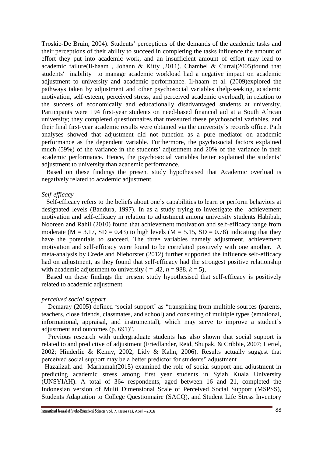Troskie-De Bruin, 2004). Students' perceptions of the demands of the academic tasks and their perceptions of their ability to succeed in completing the tasks influence the amount of effort they put into academic work, and an insufficient amount of effort may lead to academic failure(Il‐haam , Johann & Kitty ,2011). Chambel & Curral(2005)found that students' inability to manage academic workload had a negative impact on academic adjustment to university and academic performance. Il‐haam et al. (2009)explored the pathways taken by adjustment and other psychosocial variables (help‐seeking, academic motivation, self‐esteem, perceived stress, and perceived academic overload), in relation to the success of economically and educationally disadvantaged students at university. Participants were 194 first‐year students on need‐based financial aid at a South African university; they completed questionnaires that measured these psychosocial variables, and their final first‐year academic results were obtained via the university's records office. Path analyses showed that adjustment did not function as a pure mediator on academic performance as the dependent variable. Furthermore, the psychosocial factors explained much (59%) of the variance in the students' adjustment and 20% of the variance in their academic performance. Hence, the psychosocial variables better explained the students' adjustment to university than academic performance.

 Based on these findings the present study hypothesised that Academic overload is negatively related to academic adjustment.

#### *Self-efficacy*

 Self-efficacy refers to the beliefs about one's capabilities to learn or perform behaviors at designated levels (Bandura, 1997). In as a study trying to investigate the achievement motivation and self-efficacy in relation to adjustment among university students Habibah, Nooreen and Rahil (2010) found that achievement motivation and self-efficacy range from moderate ( $M = 3.17$ ,  $SD = 0.43$ ) to high levels ( $M = 5.15$ ,  $SD = 0.78$ ) indicating that they have the potentials to succeed. The three variables namely adjustment, achievement motivation and self-efficacy were found to be correlated positively with one another. A meta-analysis by Crede and Niehorster (2012) further supported the influence self-efficacy had on adjustment, as they found that self-efficacy had the strongest positive relationship with academic adjustment to university ( $= .42$ ,  $n = 988$ ,  $k = 5$ ),

 Based on these findings the present study hypothesised that self-efficacy is positively related to academic adjustment.

## *perceived social support*

 Demaray (2005) defined 'social support' as "transpiring from multiple sources (parents, teachers, close friends, classmates, and school) and consisting of multiple types (emotional, informational, appraisal, and instrumental), which may serve to improve a student's adjustment and outcomes (p. 691)".

 Previous research with undergraduate students has also shown that social support is related to and predictive of adjustment (Friedlander, Reid, Shupak, & Cribbie, 2007; Hertel, 2002; Hinderlie & Kenny, 2002; Lidy & Kahn, 2006). Results actually suggest that perceived social support may be a better predictor for students" adjustment .

 Hazalizah and Marhamah(2015) examined the role of social support and adjustment in predicting academic stress among first year students in Syiah Kuala University (UNSYIAH). A total of 364 respondents, aged between 16 and 21, completed the Indonesian version of Multi Dimensional Scale of Perceived Social Support (MSPSS), Students Adaptation to College Questionnaire (SACQ), and Student Life Stress Inventory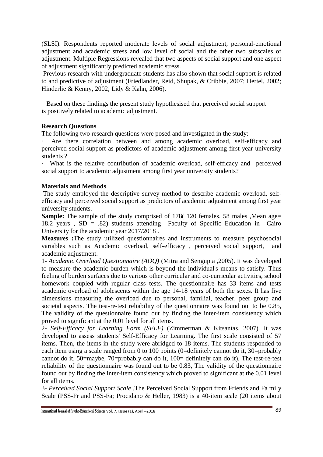(SLSI). Respondents reported moderate levels of social adjustment, personal-emotional adjustment and academic stress and low level of social and the other two subscales of adjustment. Multiple Regressions revealed that two aspects of social support and one aspect of adjustment significantly predicted academic stress.

 Previous research with undergraduate students has also shown that social support is related to and predictive of adjustment (Friedlander, Reid, Shupak, & Cribbie, 2007; Hertel, 2002; Hinderlie & Kenny, 2002; Lidy & Kahn, 2006).

 Based on these findings the present study hypothesised that perceived social support is positively related to academic adjustment.

# **Research Questions**

The following two research questions were posed and investigated in the study:

Are there correlation between and among academic overload, self-efficacy and perceived social support as predictors of academic adjustment among first year university students ?

What is the relative contribution of academic overload, self-efficacy and perceived social support to academic adjustment among first year university students?

# **Materials and Methods**

The study employed the descriptive survey method to describe academic overload, selfefficacy and perceived social support as predictors of academic adjustment among first year university students.

**Sample:** The sample of the study comprised of 178(120 females. 58 males ,Mean age= 18.2 years , SD = .82) students attending Faculty of Specific Education in Cairo University for the academic year 2017/2018 .

**Measures :**The study utilized questionnaires and instruments to measure psychosocial variables such as Academic overload, self-efficacy , perceived social support, and academic adjustment.

1- *Academic Overload Questionnaire (AOQ)* (Mitra and Sengupta ,2005). It was developed to measure the academic burden which is beyond the individual's means to satisfy. Thus feeling of burden surfaces due to various other curricular and co-curricular activities, school homework coupled with regular class tests. The questionnaire has 33 items and tests academic overload of adolescents within the age 14-18 years of both the sexes. It has five dimensions measuring the overload due to personal, familial, teacher, peer group and societal aspects. The test-re-test reliability of the questionnaire was found out to be 0.85, The validity of the questionnaire found out by finding the inter-item consistency which proved to significant at the 0.01 level for all items.

2- *Self-Efficacy for Learning Form (SELF)* (Zimmerman & Kitsantas, 2007). It was developed to assess students' Self-Efficacy for Learning. The first scale consisted of 57 items. Then, the items in the study were abridged to 18 items. The students responded to each item using a scale ranged from 0 to 100 points (0=definitely cannot do it, 30=probably cannot do it, 50=maybe, 70=probably can do it, 100= definitely can do it). The test-re-test reliability of the questionnaire was found out to be 0.83, The validity of the questionnaire found out by finding the inter-item consistency which proved to significant at the 0.01 level for all items.

3- *Perceived Social Support Scale* .The Perceived Social Support from Friends and Fa mily Scale (PSS-Fr and PSS-Fa; Procidano & Heller, 1983) is a 40-item scale (20 items about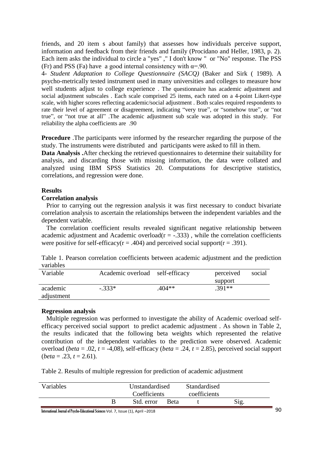friends, and 20 item s about family) that assesses how individuals perceive support, information and feedback from their friends and family (Procidano and Heller, 1983, p. 2). Each item asks the individual to circle a "yes" ," I don't know " or "No" response. The PSS (Fr) and PSS (Fa) have a good internal consistency with  $\alpha = 90$ .

4- *Student Adaptation to College Questionnaire (SACQ)* (Baker and Sirk ( 1989). A psycho-metrically tested instrument used in many universities and colleges to measure how well students adjust to college experience . The questionnaire has academic adjustment and social adjustment subscales . Each scale comprised 25 items, each rated on a 4-point Likert-type scale, with higher scores reflecting academic/social adjustment . Both scales required respondents to rate their level of agreement or disagreement, indicating "very true", or "somehow true", or "not true", or "not true at all" .The academic adjustment sub scale was adopted in this study. For reliability the alpha coefficients are .90

**Procedure** .The participants were informed by the researcher regarding the purpose of the study. The instruments were distributed and participants were asked to fill in them.

**Data Analysis .**After checking the retrieved questionnaires to determine their suitability for analysis, and discarding those with missing information, the data were collated and analyzed using IBM SPSS Statistics 20. Computations for descriptive statistics, correlations, and regression were done.

## **Results**

#### **Correlation analysis**

 Prior to carrying out the regression analysis it was first necessary to conduct bivariate correlation analysis to ascertain the relationships between the independent variables and the dependent variable.

 The correlation coefficient results revealed significant negative relationship between academic adjustment and Academic overload( $r = -.333$ ), while the correlation coefficients were positive for self-efficacy( $r = .404$ ) and perceived social support( $r = .391$ ).

Table 1. Pearson correlation coefficients between academic adjustment and the prediction variables

| Variable               | Academic overload self-efficacy |          | perceived<br>support | social |
|------------------------|---------------------------------|----------|----------------------|--------|
| academic<br>adjustment | $-.333*$                        | $.404**$ | $.391**$             |        |

## **Regression analysis**

 Multiple regression was performed to investigate the ability of Academic overload selfefficacy perceived social support to predict academic adjustment . As shown in Table 2, the results indicated that the following beta weights which represented the relative contribution of the independent variables to the prediction were observed. Academic overload (*beta* = .02,  $t = -4.08$ ), self-efficacy (*beta* = .24,  $t = 2.85$ ), perceived social support  $(beta = .23, t = 2.61).$ 

Table 2. Results of multiple regression for prediction of academic adjustment

|            |             | coefficients |  |
|------------|-------------|--------------|--|
| Std. error | <b>Beta</b> | Sig.         |  |

International Journal of Psycho-Educational Sciences Vol. 7, Issue (1), April –<sup>2018</sup>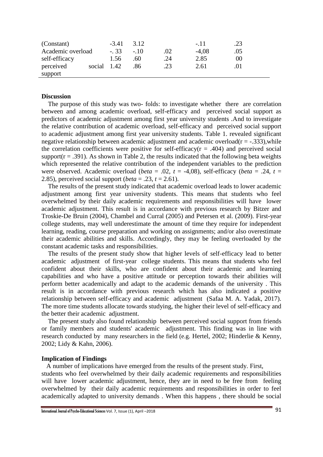| (Constant)        |             | $-3.41$ | 3.12  |     | $-.11$  | .23 |  |
|-------------------|-------------|---------|-------|-----|---------|-----|--|
| Academic overload |             | $-.33$  | $-10$ | .02 | $-4.08$ | .05 |  |
| self-efficacy     |             | 1.56    | .60   | 24  | 2.85    | 00  |  |
| perceived         | social 1.42 |         | .86   | .23 | 2.61    |     |  |
| support           |             |         |       |     |         |     |  |

## **Discussion**

 The purpose of this study was two- folds: to investigate whether there are correlation between and among academic overload, self-efficacy and perceived social support as predictors of academic adjustment among first year university students .And to investigate the relative contribution of academic overload, self-efficacy and perceived social support to academic adjustment among first year university students. Table 1. revealed significant negative relationship between academic adjustment and academic overload( $r = -.333$ ),while the correlation coefficients were positive for self-efficacy( $r = .404$ ) and perceived social support( $r = .391$ ). As shown in Table 2, the results indicated that the following beta weights which represented the relative contribution of the independent variables to the prediction were observed. Academic overload (*beta* = .02,  $t = -4.08$ ), self-efficacy (*beta* = .24,  $t =$ 2.85), perceived social support (*beta* = .23, *t* = 2.61).

 The results of the present study indicated that academic overload leads to lower academic adjustment among first year university students. This means that students who feel overwhelmed by their daily academic requirements and responsibilities will have lower academic adjustment. This result is in accordance with previous research by Bitzer and Troskie-De Bruin (2004), Chambel and Curral (2005) and Petersen et al. (2009). First-year college students, may well underestimate the amount of time they require for independent learning, reading, course preparation and working on assignments; and/or also overestimate their academic abilities and skills. Accordingly, they may be feeling overloaded by the constant academic tasks and responsibilities.

 The results of the present study show that higher levels of self-efficacy lead to better academic adjustment of first-year college students. This means that students who feel confident about their skills, who are confident about their academic and learning capabilities and who have a positive attitude or perception towards their abilities will perform better academically and adapt to the academic demands of the university . This result is in accordance with previous research which has also indicated a positive relationship between self-efficacy and academic adjustment (Safaa M. A. Yadak, 2017). The more time students allocate towards studying, the higher their level of self-efficacy and the better their academic adjustment.

 The present study also found relationship between perceived social support from friends or family members and students' academic adjustment. This finding was in line with research conducted by many researchers in the field (e.g. Hertel, 2002; Hinderlie & Kenny, 2002; Lidy & Kahn, 2006).

## **Implication of Findings**

 A number of implications have emerged from the results of the present study. First, students who feel overwhelmed by their daily academic requirements and responsibilities will have lower academic adjustment, hence, they are in need to be free from feeling overwhelmed by their daily academic requirements and responsibilities in order to feel academically adapted to university demands . When this happens , there should be social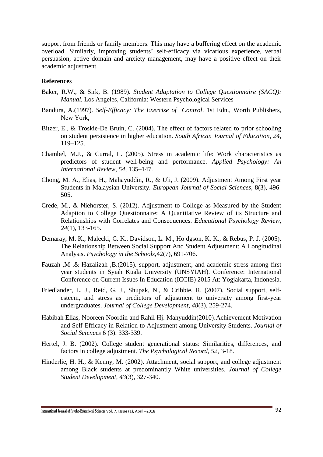support from friends or family members. This may have a buffering effect on the academic overload. Similarly, improving students' self-efficacy via vicarious experience, verbal persuasion, active domain and anxiety management, may have a positive effect on their academic adjustment.

## **Reference**s

- Baker, R.W., & Sirk, B. (1989). *Student Adaptation to College Questionnaire (SACQ): Manual.* Los Angeles, California: Western Psychological Services
- Bandura, A.(1997). *Self-Efficacy: The Exercise of Control*. 1st Edn., Worth Publishers, New York,
- Bitzer, E., & Troskie-De Bruin, C. (2004). The effect of factors related to prior schooling on student persistence in higher education. *South African Journal of Education, 24,*  119–125.
- Chambel, M.J., & Curral, L. (2005). Stress in academic life: Work characteristics as predictors of student well-being and performance. *Applied Psychology: An International Review, 54,* 135–147.
- Chong, M. A., Elias, H., Mahayuddin, R., & Uli, J. (2009). Adjustment Among First year Students in Malaysian University. *European Journal of Social Sciences*, 8(3), 496- 505.
- Crede, M., & Niehorster, S. (2012). Adjustment to College as Measured by the Student Adaption to College Questionnaire: A Quantitative Review of its Structure and Relationships with Correlates and Consequences. *Educational Psychology Review, 24*(1), 133-165.
- Demaray, M. K., Malecki, C. K., Davidson, L. M., Ho dgson, K. K., & Rebus, P. J. (2005). The Relationship Between Social Support And Student Adjustment: A Longitudinal Analysis. *Psychology in the Schools*,42(7), 691-706.
- [Fauzah ,M](https://www.researchgate.net/scientific-contributions/2091356223_Fauzah_Marhamah?_sg=4JVBcIZOMEidEQkFbIEFsUc_Epf6omq0BuJEuUVkXPEnfPZ6C5tEaJ_DgDI_V83kx-4z96s.d5SIH8rH8W_LHrMVJ8wMP4lYeqU2PLMTs8Z0BQcO-Ojj7GCjpsIUqIRAoY7-fy9Y9mcrUXwJApTWPtmzZeenGA) .& [Hazalizah ,B.\(2015\).](https://www.researchgate.net/scientific-contributions/2133825923_Hazalizah_Binti_Hamzah?_sg=4JVBcIZOMEidEQkFbIEFsUc_Epf6omq0BuJEuUVkXPEnfPZ6C5tEaJ_DgDI_V83kx-4z96s.d5SIH8rH8W_LHrMVJ8wMP4lYeqU2PLMTs8Z0BQcO-Ojj7GCjpsIUqIRAoY7-fy9Y9mcrUXwJApTWPtmzZeenGA) support, adjustment, and academic stress among first year students in Syiah Kuala University (UNSYIAH). Conference: International Conference on Current Issues In Education (ICCIE) 2015 At: Yogjakarta, Indonesia.
- Friedlander, L. J., Reid, G. J., Shupak, N., & Cribbie, R. (2007). Social support, selfesteem, and stress as predictors of adjustment to university among first-year undergraduates. *Journal of College Development, 48*(3), 259-274.
- Habibah Elias, Nooreen Noordin and Rahil Hj. Mahyuddin(2010).Achievement Motivation and Self-Efficacy in Relation to Adjustment among University Students. *Journal of Social Sciences* 6 (3): 333-339.
- Hertel, J. B. (2002). College student generational status: Similarities, differences, and factors in college adjustment. *The Psychological Record, 52*, 3-18.
- Hinderlie, H. H., & Kenny, M. (2002). Attachment, social support, and college adjustment among Black students at predominantly White universities. *Journal of College Student Development, 43*(3), 327-340.

International Journal of Psycho-Educational Sciences Vol. 7, Issue (1), April –<sup>2018</sup>